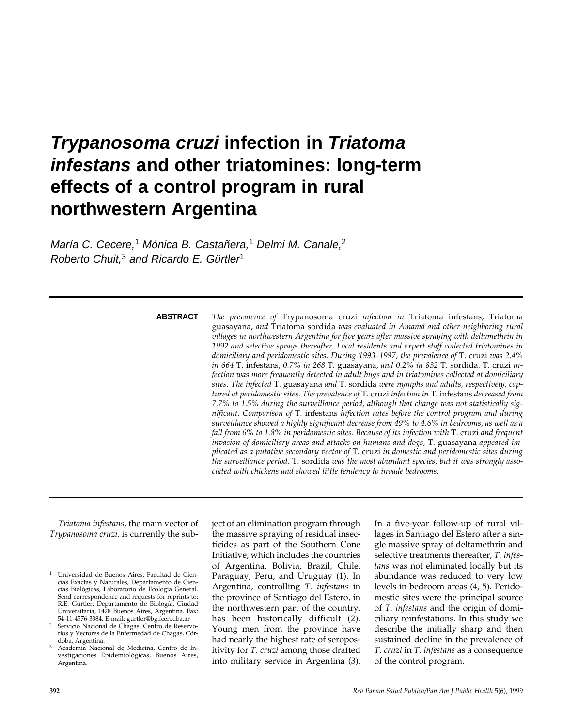# **Trypanosoma cruzi infection in Triatoma infestans and other triatomines: long-term effects of a control program in rural northwestern Argentina**

María C. Cecere,<sup>1</sup> Mónica B. Castañera,<sup>1</sup> Delmi M. Canale,<sup>2</sup> Roberto Chuit.<sup>3</sup> and Ricardo E. Gürtler<sup>1</sup>

#### **ABSTRACT**

*The prevalence of* Trypanosoma cruzi *infection in* Triatoma infestans, Triatoma guasayana, *and* Triatoma sordida *was evaluated in Amamá and other neighboring rural villages in northwestern Argentina for five years after massive spraying with deltamethrin in 1992 and selective sprays thereafter. Local residents and expert staff collected triatomines in domiciliary and peridomestic sites. During 1993–1997, the prevalence of* T. cruzi *was 2.4% in 664* T. infestans, *0.7% in 268* T. guasayana, *and 0.2% in 832* T. sordida. T. cruzi *infection was more frequently detected in adult bugs and in triatomines collected at domiciliary sites. The infected* T. guasayana *and* T. sordida *were nymphs and adults, respectively, captured at peridomestic sites. The prevalence of* T. cruzi *infection in* T. infestans *decreased from 7.7% to 1.5% during the surveillance period, although that change was not statistically significant. Comparison of* T. infestans *infection rates before the control program and during surveillance showed a highly significant decrease from 49% to 4.6% in bedrooms, as well as a fall from 6% to 1.8% in peridomestic sites. Because of its infection with* T. cruzi *and frequent invasion of domiciliary areas and attacks on humans and dogs,* T. guasayana *appeared implicated as a putative secondary vector of* T. cruzi *in domestic and peridomestic sites during the surveillance period.* T. sordida *was the most abundant species, but it was strongly associated with chickens and showed little tendency to invade bedrooms.*

*Triatoma infestans*, the main vector of *Trypanosoma cruzi*, is currently the subject of an elimination program through the massive spraying of residual insecticides as part of the Southern Cone Initiative, which includes the countries of Argentina, Bolivia, Brazil, Chile, Paraguay, Peru, and Uruguay (1). In Argentina, controlling *T. infestans* in the province of Santiago del Estero, in the northwestern part of the country, has been historically difficult (2). Young men from the province have had nearly the highest rate of seropositivity for *T. cruzi* among those drafted into military service in Argentina (3).

In a five-year follow-up of rural villages in Santiago del Estero after a single massive spray of deltamethrin and selective treatments thereafter, *T. infestans* was not eliminated locally but its abundance was reduced to very low levels in bedroom areas (4, 5). Peridomestic sites were the principal source of *T. infestans* and the origin of domiciliary reinfestations. In this study we describe the initially sharp and then sustained decline in the prevalence of *T. cruzi* in *T. infestans* as a consequence of the control program.

<sup>1</sup> Universidad de Buenos Aires, Facultad de Ciencias Exactas y Naturales, Departamento de Ciencias Biológicas, Laboratorio de Ecología General. Send correspondence and requests for reprints to: R.E. Gürtler, Departamento de Biología, Ciudad Universitaria, 1428 Buenos Aires, Argentina. Fax: 54-11-4576-3384. E-mail: gurtler@bg.fcen.uba.ar

<sup>2</sup> Servicio Nacional de Chagas, Centro de Reservorios y Vectores de la Enfermedad de Chagas, Córdoba, Argentina.

<sup>3</sup> Academia Nacional de Medicina, Centro de Investigaciones Epidemiológicas, Buenos Aires, Argentina.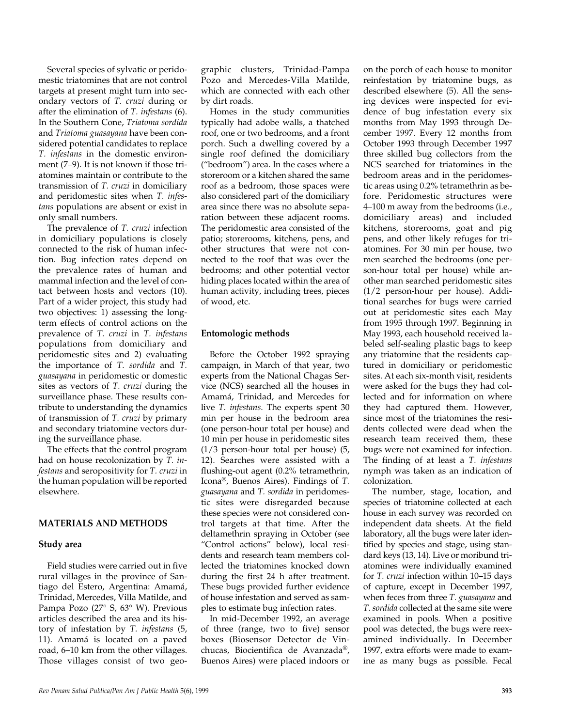Several species of sylvatic or peridomestic triatomines that are not control targets at present might turn into secondary vectors of *T. cruzi* during or after the elimination of *T. infestans* (6). In the Southern Cone, *Triatoma sordida* and *Triatoma guasayana* have been considered potential candidates to replace *T. infestans* in the domestic environment (7–9). It is not known if those triatomines maintain or contribute to the transmission of *T. cruzi* in domiciliary and peridomestic sites when *T. infestans* populations are absent or exist in only small numbers*.*

The prevalence of *T. cruzi* infection in domiciliary populations is closely connected to the risk of human infection. Bug infection rates depend on the prevalence rates of human and mammal infection and the level of contact between hosts and vectors (10). Part of a wider project, this study had two objectives: 1) assessing the longterm effects of control actions on the prevalence of *T. cruzi* in *T. infestans* populations from domiciliary and peridomestic sites and 2) evaluating the importance of *T. sordida* and *T. guasayana* in peridomestic or domestic sites as vectors of *T. cruzi* during the surveillance phase. These results contribute to understanding the dynamics of transmission of *T. cruzi* by primary and secondary triatomine vectors during the surveillance phase.

The effects that the control program had on house recolonization by *T. infestans* and seropositivity for *T. cruzi* in the human population will be reported elsewhere.

## **MATERIALS AND METHODS**

#### **Study area**

Field studies were carried out in five rural villages in the province of Santiago del Estero, Argentina: Amamá, Trinidad, Mercedes, Villa Matilde, and Pampa Pozo (27° S, 63° W). Previous articles described the area and its history of infestation by *T. infestans* (5, 11). Amamá is located on a paved road, 6–10 km from the other villages. Those villages consist of two geographic clusters, Trinidad-Pampa Pozo and Mercedes-Villa Matilde, which are connected with each other by dirt roads.

Homes in the study communities typically had adobe walls, a thatched roof, one or two bedrooms, and a front porch. Such a dwelling covered by a single roof defined the domiciliary ("bedroom") area. In the cases where a storeroom or a kitchen shared the same roof as a bedroom, those spaces were also considered part of the domiciliary area since there was no absolute separation between these adjacent rooms. The peridomestic area consisted of the patio; storerooms, kitchens, pens, and other structures that were not connected to the roof that was over the bedrooms; and other potential vector hiding places located within the area of human activity, including trees, pieces of wood, etc.

#### **Entomologic methods**

Before the October 1992 spraying campaign, in March of that year, two experts from the National Chagas Service (NCS) searched all the houses in Amamá, Trinidad, and Mercedes for live *T. infestans*. The experts spent 30 min per house in the bedroom area (one person-hour total per house) and 10 min per house in peridomestic sites (1/3 person-hour total per house) (5, 12). Searches were assisted with a flushing-out agent (0.2% tetramethrin, Icona®, Buenos Aires). Findings of *T. guasayana* and *T. sordida* in peridomestic sites were disregarded because these species were not considered control targets at that time. After the deltamethrin spraying in October (see "Control actions" below), local residents and research team members collected the triatomines knocked down during the first 24 h after treatment. These bugs provided further evidence of house infestation and served as samples to estimate bug infection rates.

In mid-December 1992, an average of three (range, two to five) sensor boxes (Biosensor Detector de Vinchucas, Biocientifica de Avanzada®, Buenos Aires) were placed indoors or

on the porch of each house to monitor reinfestation by triatomine bugs, as described elsewhere (5). All the sensing devices were inspected for evidence of bug infestation every six months from May 1993 through December 1997. Every 12 months from October 1993 through December 1997 three skilled bug collectors from the NCS searched for triatomines in the bedroom areas and in the peridomestic areas using 0.2% tetramethrin as before. Peridomestic structures were 4–100 m away from the bedrooms (i.e., domiciliary areas) and included kitchens, storerooms, goat and pig pens, and other likely refuges for triatomines. For 30 min per house, two men searched the bedrooms (one person-hour total per house) while another man searched peridomestic sites (1/2 person-hour per house). Additional searches for bugs were carried out at peridomestic sites each May from 1995 through 1997. Beginning in May 1993, each household received labeled self-sealing plastic bags to keep any triatomine that the residents captured in domiciliary or peridomestic sites. At each six-month visit, residents were asked for the bugs they had collected and for information on where they had captured them. However, since most of the triatomines the residents collected were dead when the research team received them, these bugs were not examined for infection. The finding of at least a *T. infestans* nymph was taken as an indication of colonization.

The number, stage, location, and species of triatomine collected at each house in each survey was recorded on independent data sheets. At the field laboratory, all the bugs were later identified by species and stage, using standard keys (13, 14). Live or moribund triatomines were individually examined for *T. cruzi* infection within 10–15 days of capture, except in December 1997, when feces from three *T. guasayana* and *T. sordida* collected at the same site were examined in pools. When a positive pool was detected, the bugs were reexamined individually. In December 1997, extra efforts were made to examine as many bugs as possible. Fecal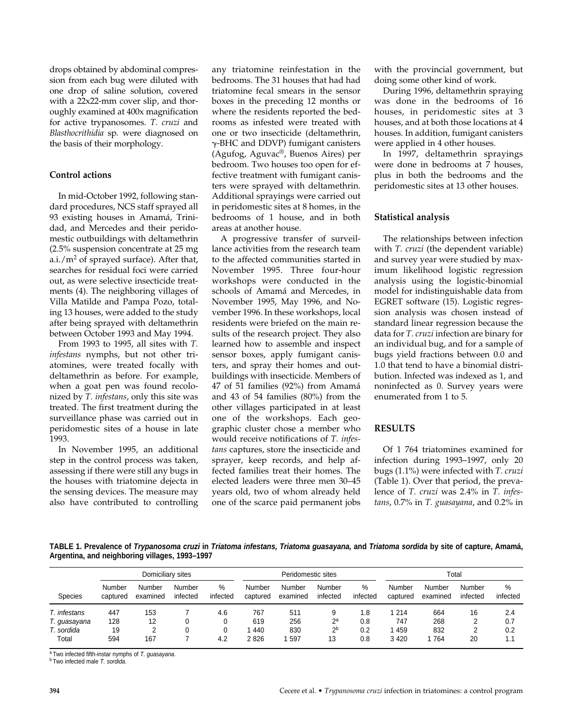drops obtained by abdominal compression from each bug were diluted with one drop of saline solution, covered with a 22x22-mm cover slip, and thoroughly examined at 400x magnification for active trypanosomes. *T. cruzi* and *Blasthocrithidia* sp*.* were diagnosed on the basis of their morphology.

# **Control actions**

In mid-October 1992, following standard procedures, NCS staff sprayed all 93 existing houses in Amamá, Trinidad, and Mercedes and their peridomestic outbuildings with deltamethrin (2.5% suspension concentrate at 25 mg a.i./ $m^2$  of sprayed surface). After that, searches for residual foci were carried out, as were selective insecticide treatments (4). The neighboring villages of Villa Matilde and Pampa Pozo, totaling 13 houses, were added to the study after being sprayed with deltamethrin between October 1993 and May 1994.

From 1993 to 1995, all sites with *T. infestans* nymphs, but not other triatomines, were treated focally with deltamethrin as before. For example, when a goat pen was found recolonized by *T. infestans*, only this site was treated. The first treatment during the surveillance phase was carried out in peridomestic sites of a house in late 1993.

In November 1995, an additional step in the control process was taken, assessing if there were still any bugs in the houses with triatomine dejecta in the sensing devices. The measure may also have contributed to controlling any triatomine reinfestation in the bedrooms. The 31 houses that had had triatomine fecal smears in the sensor boxes in the preceding 12 months or where the residents reported the bedrooms as infested were treated with one or two insecticide (deltamethrin, --BHC and DDVP) fumigant canisters (Agufog, Aguvac®, Buenos Aires) per bedroom. Two houses too open for effective treatment with fumigant canisters were sprayed with deltamethrin. Additional sprayings were carried out in peridomestic sites at 8 homes, in the bedrooms of 1 house, and in both areas at another house.

A progressive transfer of surveillance activities from the research team to the affected communities started in November 1995. Three four-hour workshops were conducted in the schools of Amamá and Mercedes, in November 1995, May 1996, and November 1996. In these workshops, local residents were briefed on the main results of the research project. They also learned how to assemble and inspect sensor boxes, apply fumigant canisters, and spray their homes and outbuildings with insecticide. Members of 47 of 51 families (92%) from Amamá and 43 of 54 families (80%) from the other villages participated in at least one of the workshops. Each geographic cluster chose a member who would receive notifications of *T. infestans* captures, store the insecticide and sprayer, keep records, and help affected families treat their homes. The elected leaders were three men 30–45 years old, two of whom already held one of the scarce paid permanent jobs

with the provincial government, but doing some other kind of work.

During 1996, deltamethrin spraying was done in the bedrooms of 16 houses, in peridomestic sites at 3 houses, and at both those locations at 4 houses. In addition, fumigant canisters were applied in 4 other houses.

In 1997, deltamethrin sprayings were done in bedrooms at 7 houses, plus in both the bedrooms and the peridomestic sites at 13 other houses.

# **Statistical analysis**

The relationships between infection with *T. cruzi* (the dependent variable) and survey year were studied by maximum likelihood logistic regression analysis using the logistic-binomial model for indistinguishable data from EGRET software (15). Logistic regression analysis was chosen instead of standard linear regression because the data for *T. cruzi* infection are binary for an individual bug, and for a sample of bugs yield fractions between 0.0 and 1.0 that tend to have a binomial distribution. Infected was indexed as 1, and noninfected as 0. Survey years were enumerated from 1 to 5.

# **RESULTS**

Of 1 764 triatomines examined for infection during 1993–1997, only 20 bugs (1.1%) were infected with *T. cruzi* (Table 1). Over that period, the prevalence of *T. cruzi* was 2.4% in *T. infestans*, 0.7% in *T. guasayana*, and 0.2% in

**TABLE 1. Prevalence of Trypanosoma cruzi in Triatoma infestans, Triatoma guasayana, and Triatoma sordida by site of capture, Amamá, Argentina, and neighboring villages, 1993–1997**

| Domiciliary sites |                    |                    |                    |               |                    | Peridomestic sites |                    |               | Total              |                    |                    |                  |
|-------------------|--------------------|--------------------|--------------------|---------------|--------------------|--------------------|--------------------|---------------|--------------------|--------------------|--------------------|------------------|
| <b>Species</b>    | Number<br>captured | Number<br>examined | Number<br>infected | %<br>infected | Number<br>captured | Number<br>examined | Number<br>infected | %<br>infected | Number<br>captured | Number<br>examined | Number<br>infected | $\%$<br>infected |
| T. infestans      | 447                | 153                |                    | 4.6           | 767                | 511                |                    | 1.8           | 1 214              | 664                | 16                 | 2.4              |
| T. guasayana      | 128                | 12                 |                    |               | 619                | 256                | $2^a$              | 0.8           | 747                | 268                |                    | 0.7              |
| T. sordida        | 19                 | 2                  |                    |               | 440                | 830                | 2 <sup>b</sup>     | 0.2           | 1459               | 832                |                    | 0.2              |
| Total             | 594                | 167                |                    | 4.2           | 2826               | 597                | 13                 | 0.8           | 3 4 2 0            | 764                | 20                 |                  |

a Two infected fifth-instar nymphs of T. quasayana.

**b** Two infected male T. sordida.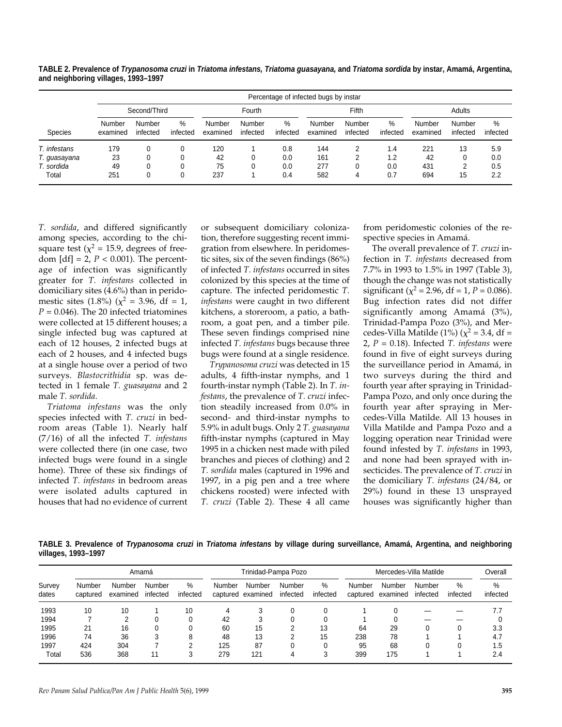|                | Percentage of infected bugs by instar |                    |                  |                    |                    |               |                    |                    |               |                    |                    |               |  |
|----------------|---------------------------------------|--------------------|------------------|--------------------|--------------------|---------------|--------------------|--------------------|---------------|--------------------|--------------------|---------------|--|
|                | Second/Third                          |                    |                  | Fourth             |                    |               | Fifth              |                    |               | Adults             |                    |               |  |
| <b>Species</b> | Number<br>examined                    | Number<br>infected | $\%$<br>infected | Number<br>examined | Number<br>infected | %<br>infected | Number<br>examined | Number<br>infected | %<br>infected | Number<br>examined | Number<br>infected | %<br>infected |  |
| T. infestans   | 179                                   |                    |                  | 120                |                    | 0.8           | 144                | າ                  | 1.4           | 221                | 13                 | 5.9           |  |
| T. guasayana   | 23                                    |                    |                  | 42                 |                    | 0.0           | 161                | ົ                  | 1.2           | 42                 |                    | 0.0           |  |
| T. sordida     | 49                                    |                    | 0                | 75                 |                    | 0.0           | 277                | 0                  | 0.0           | 431                |                    | 0.5           |  |
| Total          | 251                                   |                    |                  | 237                |                    | 0.4           | 582                |                    | 0.7           | 694                | 15                 | 2.2           |  |

**TABLE 2. Prevalence of Trypanosoma cruzi in Triatoma infestans, Triatoma guasayana, and Triatoma sordida by instar, Amamá, Argentina, and neighboring villages, 1993–1997**

*T. sordida*, and differed significantly among species, according to the chisquare test ( $\chi^2$  = 15.9, degrees of freedom  $[df] = 2$ ,  $P < 0.001$ ). The percentage of infection was significantly greater for *T. infestans* collected in domiciliary sites (4.6%) than in peridomestic sites (1.8%) ( $\chi^2$  = 3.96, df = 1,  $P = 0.046$ ). The 20 infected triatomines were collected at 15 different houses; a single infected bug was captured at each of 12 houses, 2 infected bugs at each of 2 houses, and 4 infected bugs at a single house over a period of two surveys. *Blastocrithidia* sp. was detected in 1 female *T. guasayana* and 2 male *T. sordida*.

*Triatoma infestans* was the only species infected with *T. cruzi* in bedroom areas (Table 1). Nearly half (7/16) of all the infected *T. infestans* were collected there (in one case, two infected bugs were found in a single home). Three of these six findings of infected *T. infestans* in bedroom areas were isolated adults captured in houses that had no evidence of current or subsequent domiciliary colonization, therefore suggesting recent immigration from elsewhere. In peridomestic sites, six of the seven findings (86%) of infected *T. infestans* occurred in sites colonized by this species at the time of capture. The infected peridomestic *T. infestans* were caught in two different kitchens, a storeroom, a patio, a bathroom, a goat pen, and a timber pile. These seven findings comprised nine infected *T. infestans* bugs because three bugs were found at a single residence.

*Trypanosoma cruzi* was detected in 15 adults, 4 fifth-instar nymphs, and 1 fourth-instar nymph (Table 2). In *T. infestans*, the prevalence of *T. cruzi* infection steadily increased from 0.0% in second- and third-instar nymphs to 5.9% in adult bugs. Only 2 *T. guasayana* fifth-instar nymphs (captured in May 1995 in a chicken nest made with piled branches and pieces of clothing) and 2 *T. sordida* males (captured in 1996 and 1997, in a pig pen and a tree where chickens roosted) were infected with *T. cruzi* (Table 2). These 4 all came

from peridomestic colonies of the respective species in Amamá.

The overall prevalence of *T. cruzi* infection in *T. infestans* decreased from 7.7% in 1993 to 1.5% in 1997 (Table 3), though the change was not statistically significant ( $\chi^2$  = 2.96, df = 1, *P* = 0.086). Bug infection rates did not differ significantly among Amamá (3%), Trinidad-Pampa Pozo (3%), and Mercedes-Villa Matilde (1%) ( $\chi^2$  = 3.4, df = 2, *P* = 0.18). Infected *T. infestans* were found in five of eight surveys during the surveillance period in Amamá, in two surveys during the third and fourth year after spraying in Trinidad-Pampa Pozo, and only once during the fourth year after spraying in Mercedes-Villa Matilde. All 13 houses in Villa Matilde and Pampa Pozo and a logging operation near Trinidad were found infested by *T. infestans* in 1993, and none had been sprayed with insecticides. The prevalence of *T. cruzi* in the domiciliary *T. infestans* (24/84, or 29%) found in these 13 unsprayed houses was significantly higher than

**TABLE 3. Prevalence of Trypanosoma cruzi in Triatoma infestans by village during surveillance, Amamá, Argentina, and neighboring villages, 1993–1997**

| Survey<br>dates |                    |                    | Amamá              |               |        | Trinidad-Pampa Pozo         |                    |                  | Mercedes-Villa Matilde | Overall            |                    |               |               |
|-----------------|--------------------|--------------------|--------------------|---------------|--------|-----------------------------|--------------------|------------------|------------------------|--------------------|--------------------|---------------|---------------|
|                 | Number<br>captured | Number<br>examined | Number<br>infected | %<br>infected | Number | Number<br>captured examined | Number<br>infected | $\%$<br>infected | Number<br>captured     | Number<br>examined | Number<br>infected | %<br>infected | %<br>infected |
| 1993            | 10                 | 10                 |                    | 10            |        |                             |                    |                  |                        |                    |                    |               | 7.7           |
| 1994            |                    |                    |                    |               | 42     |                             |                    |                  |                        |                    |                    |               |               |
| 1995            | 21                 | 16                 |                    |               | 60     | 15                          |                    | 13               | 64                     | 29                 |                    |               | 3.3           |
| 1996            | 74                 | 36                 |                    |               | 48     | 13                          |                    | 15               | 238                    | 78                 |                    |               | 4.7           |
| 1997            | 424                | 304                |                    |               | 125    | 87                          |                    |                  | 95                     | 68                 |                    |               | 1.5           |
| Total           | 536                | 368                | 11                 |               | 279    | 121                         |                    |                  | 399                    | 175                |                    |               | 2.4           |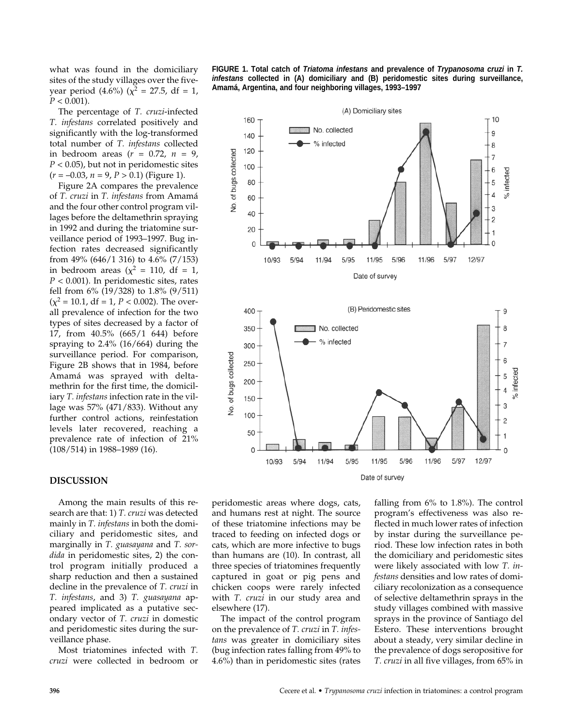what was found in the domiciliary sites of the study villages over the fiveyear period (4.6%) ( $\chi^2 = 27.5$ , df = 1,  $P < 0.001$ ).

The percentage of *T. cruzi*-infected *T. infestans* correlated positively and significantly with the log-transformed total number of *T. infestans* collected in bedroom areas (*r* = 0.72, *n* = 9,  $P < 0.05$ ), but not in peridomestic sites  $(r = -0.03, n = 9, P > 0.1)$  (Figure 1).

Figure 2A compares the prevalence of *T. cruzi* in *T. infestans* from Amamá and the four other control program villages before the deltamethrin spraying in 1992 and during the triatomine surveillance period of 1993–1997. Bug infection rates decreased significantly from 49% (646/1 316) to 4.6% (7/153) in bedroom areas ( $\chi^2$  = 110, df = 1, *P* < 0.001). In peridomestic sites, rates fell from 6% (19/328) to 1.8% (9/511)  $(\chi^2 = 10.1, df = 1, P < 0.002)$ . The overall prevalence of infection for the two types of sites decreased by a factor of 17, from 40.5% (665/1 644) before spraying to 2.4% (16/664) during the surveillance period. For comparison, Figure 2B shows that in 1984, before Amamá was sprayed with deltamethrin for the first time, the domiciliary *T. infestans* infection rate in the village was 57% (471/833). Without any further control actions, reinfestation levels later recovered, reaching a prevalence rate of infection of 21% (108/514) in 1988–1989 (16).

#### **DISCUSSION**

Among the main results of this research are that: 1) *T. cruzi* was detected mainly in *T. infestans* in both the domiciliary and peridomestic sites, and marginally in *T. guasayana* and *T. sordida* in peridomestic sites, 2) the control program initially produced a sharp reduction and then a sustained decline in the prevalence of *T. cruzi* in *T. infestans*, and 3) *T. guasayana* appeared implicated as a putative secondary vector of *T. cruzi* in domestic and peridomestic sites during the surveillance phase.

Most triatomines infected with *T. cruzi* were collected in bedroom or **FIGURE 1. Total catch of Triatoma infestans and prevalence of Trypanosoma cruzi in T. infestans collected in (A) domiciliary and (B) peridomestic sites during surveillance, Amamá, Argentina, and four neighboring villages, 1993–1997**



peridomestic areas where dogs, cats, and humans rest at night. The source of these triatomine infections may be traced to feeding on infected dogs or cats, which are more infective to bugs than humans are (10). In contrast, all three species of triatomines frequently captured in goat or pig pens and chicken coops were rarely infected with *T. cruzi* in our study area and elsewhere (17).

The impact of the control program on the prevalence of *T. cruzi* in *T. infestans* was greater in domiciliary sites (bug infection rates falling from 49% to 4.6%) than in peridomestic sites (rates

falling from 6% to 1.8%). The control program's effectiveness was also reflected in much lower rates of infection by instar during the surveillance period. These low infection rates in both the domiciliary and peridomestic sites were likely associated with low *T. infestans* densities and low rates of domiciliary recolonization as a consequence of selective deltamethrin sprays in the study villages combined with massive sprays in the province of Santiago del Estero. These interventions brought about a steady, very similar decline in the prevalence of dogs seropositive for *T. cruzi* in all five villages, from 65% in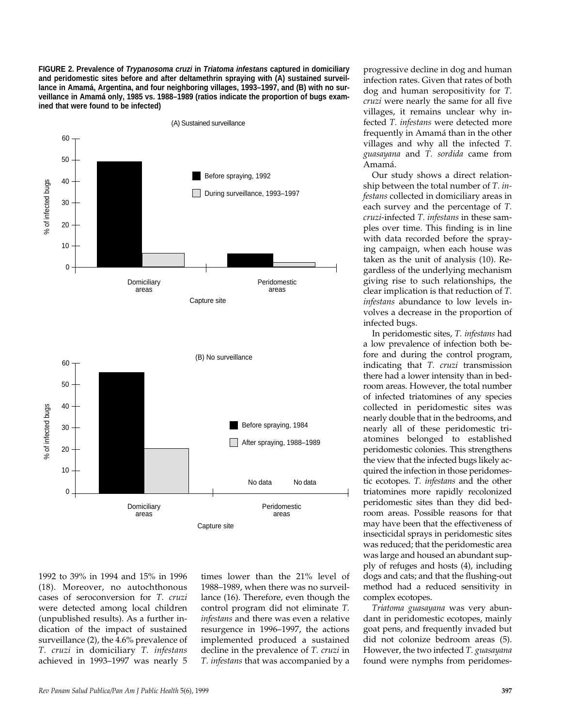**FIGURE 2. Prevalence of Trypanosoma cruzi in Triatoma infestans captured in domiciliary and peridomestic sites before and after deltamethrin spraying with (A) sustained surveillance in Amamá, Argentina, and four neighboring villages, 1993–1997, and (B) with no surveillance in Amamá only, 1985 vs. 1988–1989 (ratios indicate the proportion of bugs examined that were found to be infected)**



1992 to 39% in 1994 and 15% in 1996 (18). Moreover, no autochthonous cases of seroconversion for *T. cruzi* were detected among local children (unpublished results). As a further indication of the impact of sustained surveillance (2), the 4.6% prevalence of *T. cruzi* in domiciliary *T. infestans* achieved in 1993–1997 was nearly 5

times lower than the 21% level of 1988–1989, when there was no surveillance (16). Therefore, even though the control program did not eliminate *T. infestans* and there was even a relative resurgence in 1996–1997, the actions implemented produced a sustained decline in the prevalence of *T. cruzi* in *T. infestans* that was accompanied by a progressive decline in dog and human infection rates. Given that rates of both dog and human seropositivity for *T. cruzi* were nearly the same for all five villages, it remains unclear why infected *T. infestans* were detected more frequently in Amamá than in the other villages and why all the infected *T. guasayana* and *T. sordida* came from Amamá.

Our study shows a direct relationship between the total number of *T. infestans* collected in domiciliary areas in each survey and the percentage of *T. cruzi*-infected *T. infestans* in these samples over time. This finding is in line with data recorded before the spraying campaign, when each house was taken as the unit of analysis (10). Regardless of the underlying mechanism giving rise to such relationships, the clear implication is that reduction of *T. infestans* abundance to low levels involves a decrease in the proportion of infected bugs.

In peridomestic sites, *T. infestans* had a low prevalence of infection both before and during the control program, indicating that *T. cruzi* transmission there had a lower intensity than in bedroom areas. However, the total number of infected triatomines of any species collected in peridomestic sites was nearly double that in the bedrooms, and nearly all of these peridomestic triatomines belonged to established peridomestic colonies. This strengthens the view that the infected bugs likely acquired the infection in those peridomestic ecotopes. *T. infestans* and the other triatomines more rapidly recolonized peridomestic sites than they did bedroom areas. Possible reasons for that may have been that the effectiveness of insecticidal sprays in peridomestic sites was reduced; that the peridomestic area was large and housed an abundant supply of refuges and hosts (4), including dogs and cats; and that the flushing-out method had a reduced sensitivity in complex ecotopes.

*Triatoma guasayana* was very abundant in peridomestic ecotopes, mainly goat pens, and frequently invaded but did not colonize bedroom areas (5). However, the two infected *T. guasayana* found were nymphs from peridomes-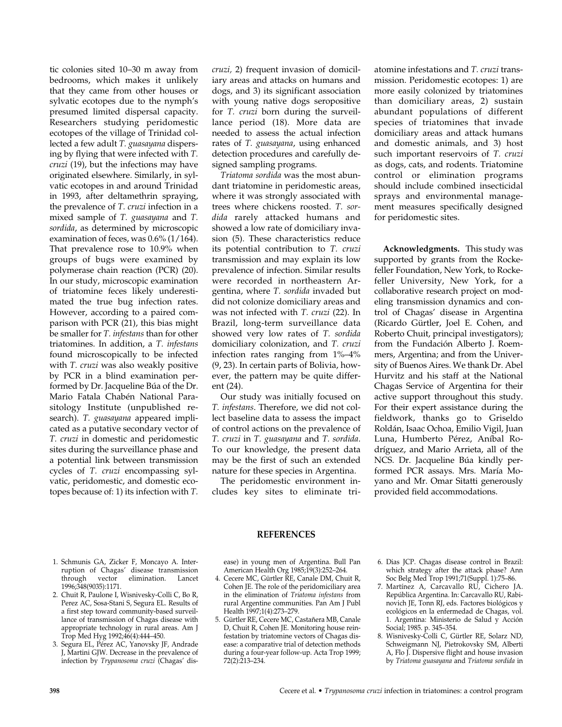tic colonies sited 10–30 m away from bedrooms, which makes it unlikely that they came from other houses or sylvatic ecotopes due to the nymph's presumed limited dispersal capacity. Researchers studying peridomestic ecotopes of the village of Trinidad collected a few adult *T. guasayana* dispersing by flying that were infected with *T. cruzi* (19), but the infections may have originated elsewhere. Similarly, in sylvatic ecotopes in and around Trinidad in 1993, after deltamethrin spraying, the prevalence of *T. cruzi* infection in a mixed sample of *T. guasayana* and *T. sordida*, as determined by microscopic examination of feces, was 0.6% (1/164). That prevalence rose to 10.9% when groups of bugs were examined by polymerase chain reaction (PCR) (20). In our study, microscopic examination of triatomine feces likely underestimated the true bug infection rates. However, according to a paired comparison with PCR (21), this bias might be smaller for *T. infestans* than for other triatomines. In addition, a *T. infestans* found microscopically to be infected with *T. cruzi* was also weakly positive by PCR in a blind examination performed by Dr. Jacqueline Búa of the Dr. Mario Fatala Chabén National Parasitology Institute (unpublished research). *T. guasayana* appeared implicated as a putative secondary vector of *T. cruzi* in domestic and peridomestic sites during the surveillance phase and a potential link between transmission cycles of *T. cruzi* encompassing sylvatic, peridomestic, and domestic ecotopes because of: 1) its infection with *T.*

*cruzi,* 2) frequent invasion of domiciliary areas and attacks on humans and dogs, and 3) its significant association with young native dogs seropositive for *T. cruzi* born during the surveillance period (18). More data are needed to assess the actual infection rates of *T. guasayana*, using enhanced detection procedures and carefully designed sampling programs.

*Triatoma sordida* was the most abundant triatomine in peridomestic areas, where it was strongly associated with trees where chickens roosted. *T. sordida* rarely attacked humans and showed a low rate of domiciliary invasion (5). These characteristics reduce its potential contribution to *T. cruzi* transmission and may explain its low prevalence of infection. Similar results were recorded in northeastern Argentina, where *T. sordida* invaded but did not colonize domiciliary areas and was not infected with *T. cruzi* (22). In Brazil, long-term surveillance data showed very low rates of *T. sordida* domiciliary colonization, and *T. cruzi* infection rates ranging from 1%–4% (9, 23). In certain parts of Bolivia, however, the pattern may be quite different (24).

Our study was initially focused on *T. infestans*. Therefore, we did not collect baseline data to assess the impact of control actions on the prevalence of *T. cruzi* in *T. guasayana* and *T. sordida*. To our knowledge, the present data may be the first of such an extended nature for these species in Argentina.

The peridomestic environment includes key sites to eliminate triatomine infestations and *T. cruzi* transmission. Peridomestic ecotopes: 1) are more easily colonized by triatomines than domiciliary areas, 2) sustain abundant populations of different species of triatomines that invade domiciliary areas and attack humans and domestic animals, and 3) host such important reservoirs of *T. cruzi* as dogs, cats, and rodents. Triatomine control or elimination programs should include combined insecticidal sprays and environmental management measures specifically designed for peridomestic sites.

**Acknowledgments.** This study was supported by grants from the Rockefeller Foundation, New York, to Rockefeller University, New York, for a collaborative research project on modeling transmission dynamics and control of Chagas' disease in Argentina (Ricardo Gürtler, Joel E. Cohen, and Roberto Chuit, principal investigators); from the Fundación Alberto J. Roemmers, Argentina; and from the University of Buenos Aires. We thank Dr. Abel Hurvitz and his staff at the National Chagas Service of Argentina for their active support throughout this study. For their expert assistance during the fieldwork, thanks go to Griseldo Roldán, Isaac Ochoa, Emilio Vigil, Juan Luna, Humberto Pérez, Aníbal Rodríguez, and Mario Arrieta, all of the NCS. Dr. Jacqueline Búa kindly performed PCR assays. Mrs. María Moyano and Mr. Omar Sitatti generously provided field accommodations.

## **REFERENCES**

- 1. Schmunis GA, Zicker F, Moncayo A. Interruption of Chagas' disease transmission through vector elimination. Lancet 1996;348(9035):1171.
- 2. Chuit R, Paulone I, Wisnivesky-Colli C, Bo R, Perez AC, Sosa-Stani S, Segura EL. Results of a first step toward community-based surveillance of transmission of Chagas disease with appropriate technology in rural areas. Am J Trop Med Hyg 1992;46(4):444–450.
- 3. Segura EL, Pérez AC, Yanovsky JF, Andrade J, Martini GJW. Decrease in the prevalence of infection by *Trypanosoma cruzi* (Chagas' dis-

ease) in young men of Argentina. Bull Pan American Health Org 1985;19(3):252–264.

- 4. Cecere MC, Gürtler RE, Canale DM, Chuit R, Cohen JE. The role of the peridomiciliary area in the elimination of *Triatoma infestans* from rural Argentine communities. Pan Am J Publ Health 1997;1(4):273–279.
- 5. Gürtler RE, Cecere MC, Castañera MB, Canale D, Chuit R, Cohen JE. Monitoring house reinfestation by triatomine vectors of Chagas disease: a comparative trial of detection methods during a four-year follow-up. Acta Trop 1999; 72(2):213–234.
- 6. Dias JCP. Chagas disease control in Brazil: which strategy after the attack phase? Ann Soc Belg Med Trop 1991;71(Suppl. 1):75–86.
- 7. Martínez A, Carcavallo RU, Cichero JA. República Argentina. In: Carcavallo RU, Rabinovich JE, Tonn RJ, eds. Factores biológicos y ecológicos en la enfermedad de Chagas, vol. 1. Argentina: Ministerio de Salud y Acción Social; 1985. p. 345–354.
- 8. Wisnivesky-Colli C, Gürtler RE, Solarz ND, Schweigmann NJ, Pietrokovsky SM, Alberti A, Flo J. Dispersive flight and house invasion by *Triatoma guasayana* and *Triatoma sordida* in